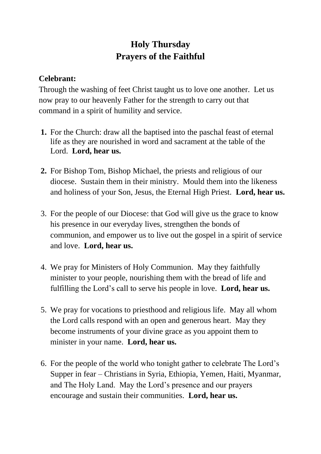## **Holy Thursday Prayers of the Faithful**

## **Celebrant:**

Through the washing of feet Christ taught us to love one another. Let us now pray to our heavenly Father for the strength to carry out that command in a spirit of humility and service.

- **1.** For the Church: draw all the baptised into the paschal feast of eternal life as they are nourished in word and sacrament at the table of the Lord. **Lord, hear us.**
- **2.** For Bishop Tom, Bishop Michael, the priests and religious of our diocese. Sustain them in their ministry. Mould them into the likeness and holiness of your Son, Jesus, the Eternal High Priest. **Lord, hear us.**
- 3. For the people of our Diocese: that God will give us the grace to know his presence in our everyday lives, strengthen the bonds of communion, and empower us to live out the gospel in a spirit of service and love. **Lord, hear us.**
- 4. We pray for Ministers of Holy Communion. May they faithfully minister to your people, nourishing them with the bread of life and fulfilling the Lord's call to serve his people in love. **Lord, hear us.**
- 5. We pray for vocations to priesthood and religious life. May all whom the Lord calls respond with an open and generous heart. May they become instruments of your divine grace as you appoint them to minister in your name. **Lord, hear us.**
- 6. For the people of the world who tonight gather to celebrate The Lord's Supper in fear – Christians in Syria, Ethiopia, Yemen, Haiti, Myanmar, and The Holy Land. May the Lord's presence and our prayers encourage and sustain their communities. **Lord, hear us.**